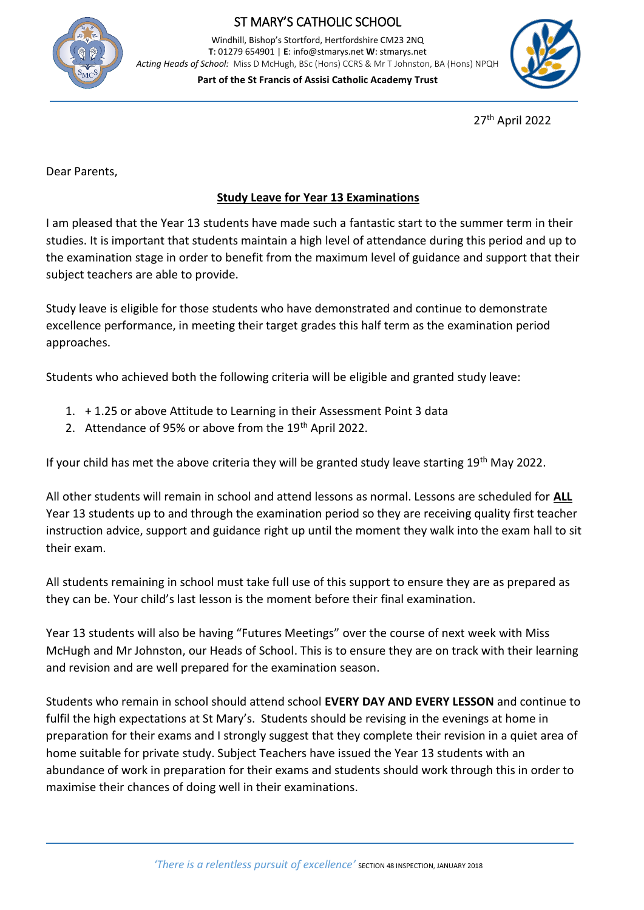

## ST MARY'S CATHOLIC SCHOOL

Windhill, Bishop's Stortford, Hertfordshire CM23 2NQ **T**: 01279 654901 | **E**: info@stmarys.net **W**: stmarys.net *Acting Heads of School:* Miss D McHugh, BSc (Hons) CCRS & Mr T Johnston, BA (Hons) NPQH

**Part of the St Francis of Assisi Catholic Academy Trust**



27th April 2022

Dear Parents,

## **Study Leave for Year 13 Examinations**

I am pleased that the Year 13 students have made such a fantastic start to the summer term in their studies. It is important that students maintain a high level of attendance during this period and up to the examination stage in order to benefit from the maximum level of guidance and support that their subject teachers are able to provide.

Study leave is eligible for those students who have demonstrated and continue to demonstrate excellence performance, in meeting their target grades this half term as the examination period approaches.

Students who achieved both the following criteria will be eligible and granted study leave:

- 1. + 1.25 or above Attitude to Learning in their Assessment Point 3 data
- 2. Attendance of 95% or above from the 19<sup>th</sup> April 2022.

If your child has met the above criteria they will be granted study leave starting 19<sup>th</sup> May 2022.

All other students will remain in school and attend lessons as normal. Lessons are scheduled for **ALL** Year 13 students up to and through the examination period so they are receiving quality first teacher instruction advice, support and guidance right up until the moment they walk into the exam hall to sit their exam.

All students remaining in school must take full use of this support to ensure they are as prepared as they can be. Your child's last lesson is the moment before their final examination.

Year 13 students will also be having "Futures Meetings" over the course of next week with Miss McHugh and Mr Johnston, our Heads of School. This is to ensure they are on track with their learning and revision and are well prepared for the examination season.

Students who remain in school should attend school **EVERY DAY AND EVERY LESSON** and continue to fulfil the high expectations at St Mary's. Students should be revising in the evenings at home in preparation for their exams and I strongly suggest that they complete their revision in a quiet area of home suitable for private study. Subject Teachers have issued the Year 13 students with an abundance of work in preparation for their exams and students should work through this in order to maximise their chances of doing well in their examinations.